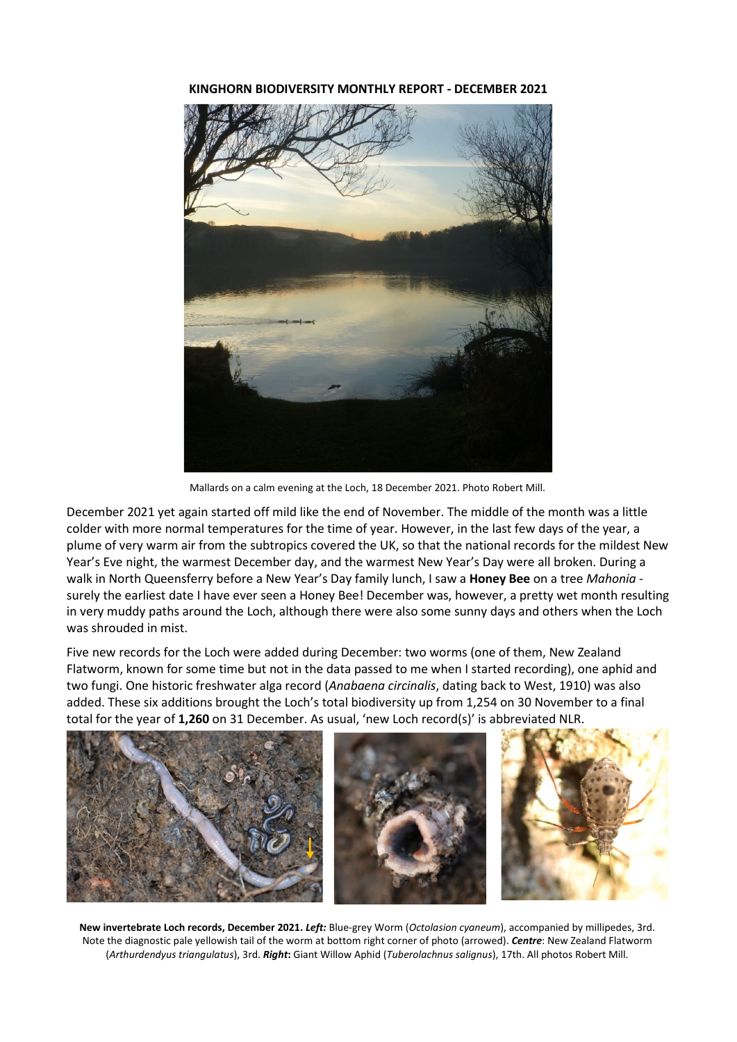**KINGHORN BIODIVERSITY MONTHLY REPORT - DECEMBER 2021** 



Mallards on a calm evening at the Loch, 18 December 2021. Photo Robert Mill.

December 2021 yet again started off mild like the end of November. The middle of the month was a little colder with more normal temperatures for the time of year. However, in the last few days of the year, a plume of very warm air from the subtropics covered the UK, so that the national records for the mildest New Year's Eve night, the warmest December day, and the warmest New Year's Day were all broken. During a walk in North Queensferry before a New Year's Day family lunch, I saw a **Honey Bee** on a tree *Mahonia* surely the earliest date I have ever seen a Honey Bee! December was, however, a pretty wet month resulting in very muddy paths around the Loch, although there were also some sunny days and others when the Loch was shrouded in mist.

Five new records for the Loch were added during December: two worms (one of them, New Zealand Flatworm, known for some time but not in the data passed to me when I started recording), one aphid and two fungi. One historic freshwater alga record (*Anabaena circinalis*, dating back to West, 1910) was also added. These six additions brought the Loch's total biodiversity up from 1,254 on 30 November to a final total for the year of **1,260** on 31 December. As usual, 'new Loch record(s)' is abbreviated NLR.



**New invertebrate Loch records, December 2021.** *Left:* Blue-grey Worm (*Octolasion cyaneum*), accompanied by millipedes, 3rd. Note the diagnostic pale yellowish tail of the worm at bottom right corner of photo (arrowed). *Centre*: New Zealand Flatworm (*Arthurdendyus triangulatus*), 3rd. *Right***:** Giant Willow Aphid (*Tuberolachnus salignus*), 17th. All photos Robert Mill.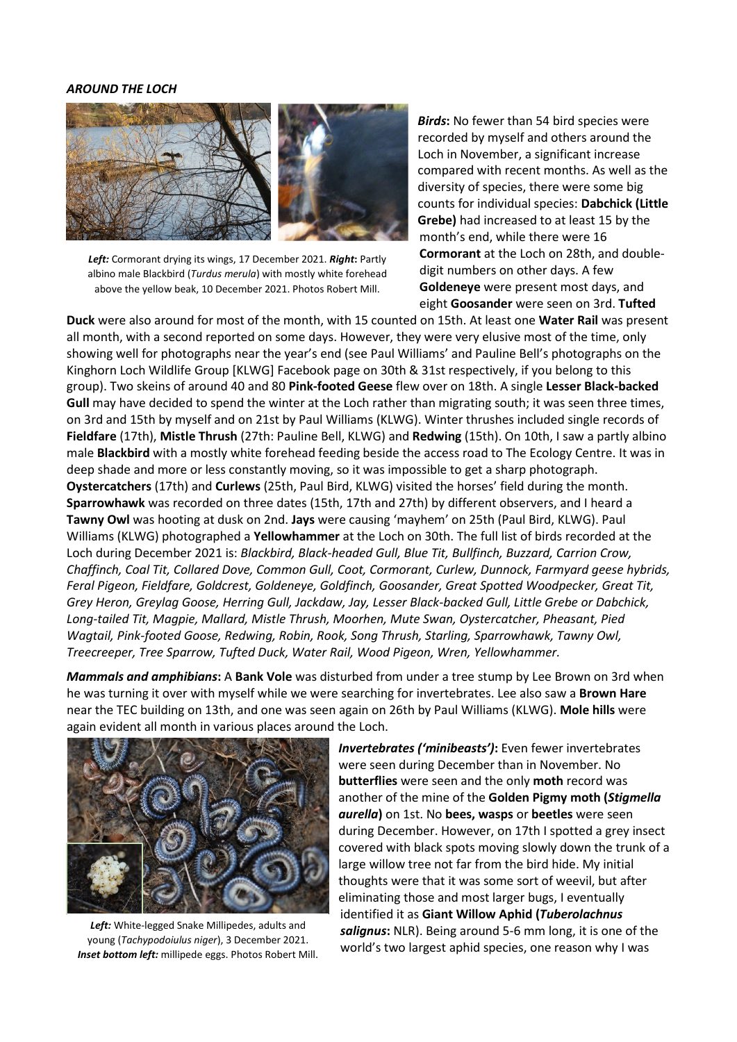## *AROUND THE LOCH*



*Left:* Cormorant drying its wings, 17 December 2021. *Right***:** Partly albino male Blackbird (*Turdus merula*) with mostly white forehead above the yellow beak, 10 December 2021. Photos Robert Mill.

*Birds***:** No fewer than 54 bird species were recorded by myself and others around the Loch in November, a significant increase compared with recent months. As well as the diversity of species, there were some big counts for individual species: **Dabchick (Little Grebe)** had increased to at least 15 by the month's end, while there were 16 **Cormorant** at the Loch on 28th, and doubledigit numbers on other days. A few **Goldeneye** were present most days, and eight **Goosander** were seen on 3rd. **Tufted** 

**Duck** were also around for most of the month, with 15 counted on 15th. At least one **Water Rail** was present all month, with a second reported on some days. However, they were very elusive most of the time, only showing well for photographs near the year's end (see Paul Williams' and Pauline Bell's photographs on the Kinghorn Loch Wildlife Group [KLWG] Facebook page on 30th & 31st respectively, if you belong to this group). Two skeins of around 40 and 80 **Pink-footed Geese** flew over on 18th. A single **Lesser Black-backed Gull** may have decided to spend the winter at the Loch rather than migrating south; it was seen three times, on 3rd and 15th by myself and on 21st by Paul Williams (KLWG). Winter thrushes included single records of **Fieldfare** (17th), **Mistle Thrush** (27th: Pauline Bell, KLWG) and **Redwing** (15th). On 10th, I saw a partly albino male **Blackbird** with a mostly white forehead feeding beside the access road to The Ecology Centre. It was in deep shade and more or less constantly moving, so it was impossible to get a sharp photograph. **Oystercatchers** (17th) and **Curlews** (25th, Paul Bird, KLWG) visited the horses' field during the month. **Sparrowhawk** was recorded on three dates (15th, 17th and 27th) by different observers, and I heard a **Tawny Owl** was hooting at dusk on 2nd. **Jays** were causing 'mayhem' on 25th (Paul Bird, KLWG). Paul Williams (KLWG) photographed a **Yellowhammer** at the Loch on 30th. The full list of birds recorded at the Loch during December 2021 is: *Blackbird, Black-headed Gull, Blue Tit, Bullfinch, Buzzard, Carrion Crow, Chaffinch, Coal Tit, Collared Dove, Common Gull, Coot, Cormorant, Curlew, Dunnock, Farmyard geese hybrids, Feral Pigeon, Fieldfare, Goldcrest, Goldeneye, Goldfinch, Goosander, Great Spotted Woodpecker, Great Tit, Grey Heron, Greylag Goose, Herring Gull, Jackdaw, Jay, Lesser Black-backed Gull, Little Grebe or Dabchick, Long-tailed Tit, Magpie, Mallard, Mistle Thrush, Moorhen, Mute Swan, Oystercatcher, Pheasant, Pied Wagtail, Pink-footed Goose, Redwing, Robin, Rook, Song Thrush, Starling, Sparrowhawk, Tawny Owl, Treecreeper, Tree Sparrow, Tufted Duck, Water Rail, Wood Pigeon, Wren, Yellowhammer.*

*Mammals and amphibians***:** A **Bank Vole** was disturbed from under a tree stump by Lee Brown on 3rd when he was turning it over with myself while we were searching for invertebrates. Lee also saw a **Brown Hare**  near the TEC building on 13th, and one was seen again on 26th by Paul Williams (KLWG). **Mole hills** were again evident all month in various places around the Loch.



*Left:* White-legged Snake Millipedes, adults and young (*Tachypodoiulus niger*), 3 December 2021. *Inset bottom left:* millipede eggs. Photos Robert Mill.

*Invertebrates ('minibeasts')***:** Even fewer invertebrates were seen during December than in November. No **butterflies** were seen and the only **moth** record was another of the mine of the **Golden Pigmy moth (***Stigmella aurella***)** on 1st. No **bees, wasps** or **beetles** were seen during December. However, on 17th I spotted a grey insect covered with black spots moving slowly down the trunk of a large willow tree not far from the bird hide. My initial thoughts were that it was some sort of weevil, but after eliminating those and most larger bugs, I eventually identified it as **Giant Willow Aphid (***Tuberolachnus salignus***:** NLR). Being around 5-6 mm long, it is one of the world's two largest aphid species, one reason why I was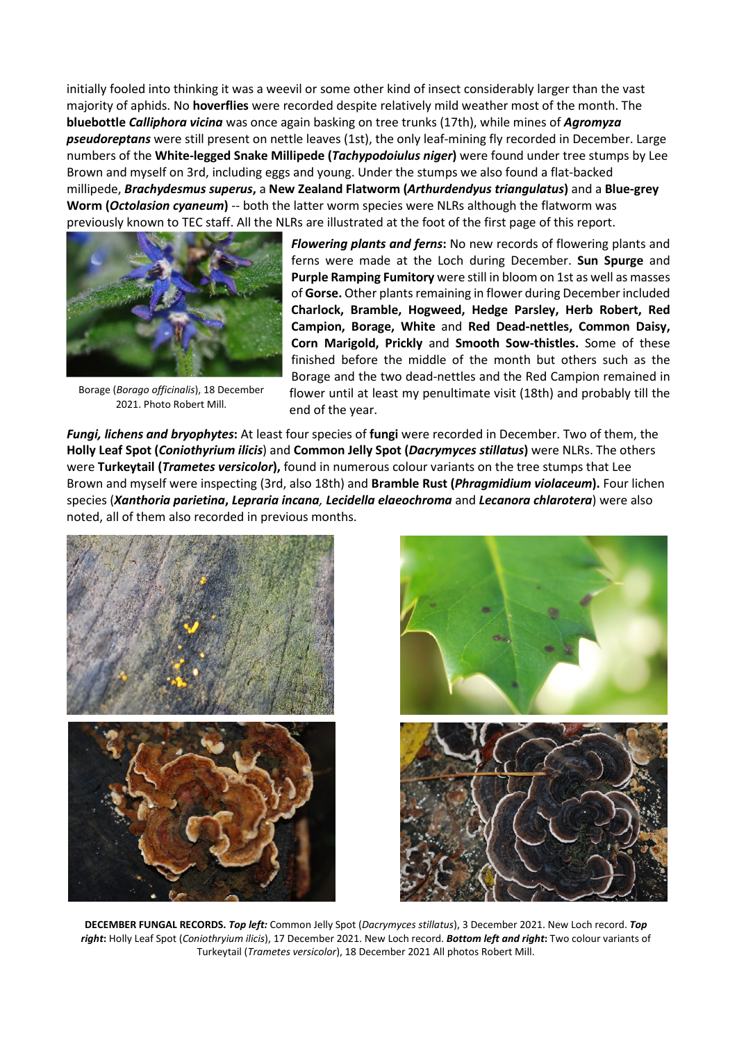initially fooled into thinking it was a weevil or some other kind of insect considerably larger than the vast majority of aphids. No **hoverflies** were recorded despite relatively mild weather most of the month. The **bluebottle** *Calliphora vicina* was once again basking on tree trunks (17th), while mines of *Agromyza pseudoreptans* were still present on nettle leaves (1st), the only leaf-mining fly recorded in December. Large numbers of the **White-legged Snake Millipede (***Tachypodoiulus niger***)** were found under tree stumps by Lee Brown and myself on 3rd, including eggs and young. Under the stumps we also found a flat-backed millipede, *Brachydesmus superus***,** a **New Zealand Flatworm (***Arthurdendyus triangulatus***)** and a **Blue-grey Worm (***Octolasion cyaneum***)** -- both the latter worm species were NLRs although the flatworm was previously known to TEC staff. All the NLRs are illustrated at the foot of the first page of this report.



Borage (*Borago officinalis*), 18 December 2021. Photo Robert Mill.

*Flowering plants and ferns***:** No new records of flowering plants and ferns were made at the Loch during December. **Sun Spurge** and **Purple Ramping Fumitory** were still in bloom on 1st as well as masses of **Gorse.** Other plants remaining in flower during December included **Charlock, Bramble, Hogweed, Hedge Parsley, Herb Robert, Red Campion, Borage, White** and **Red Dead-nettles, Common Daisy, Corn Marigold, Prickly** and **Smooth Sow-thistles.** Some of these finished before the middle of the month but others such as the Borage and the two dead-nettles and the Red Campion remained in flower until at least my penultimate visit (18th) and probably till the end of the year.

*Fungi, lichens and bryophytes***:** At least four species of **fungi** were recorded in December. Two of them, the **Holly Leaf Spot (***Coniothyrium ilicis*) and **Common Jelly Spot (***Dacrymyces stillatus***)** were NLRs. The others were **Turkeytail (***Trametes versicolor***),** found in numerous colour variants on the tree stumps that Lee Brown and myself were inspecting (3rd, also 18th) and **Bramble Rust (***Phragmidium violaceum***).** Four lichen species (*Xanthoria parietina***,** *Lepraria incana, Lecidella elaeochroma* and *Lecanora chlarotera*) were also noted, all of them also recorded in previous months.





**DECEMBER FUNGAL RECORDS.** *Top left:* Common Jelly Spot (*Dacrymyces stillatus*), 3 December 2021. New Loch record. *Top right***:** Holly Leaf Spot (*Coniothryium ilicis*), 17 December 2021. New Loch record. *Bottom left and right***:** Two colour variants of Turkeytail (*Trametes versicolor*), 18 December 2021 All photos Robert Mill.